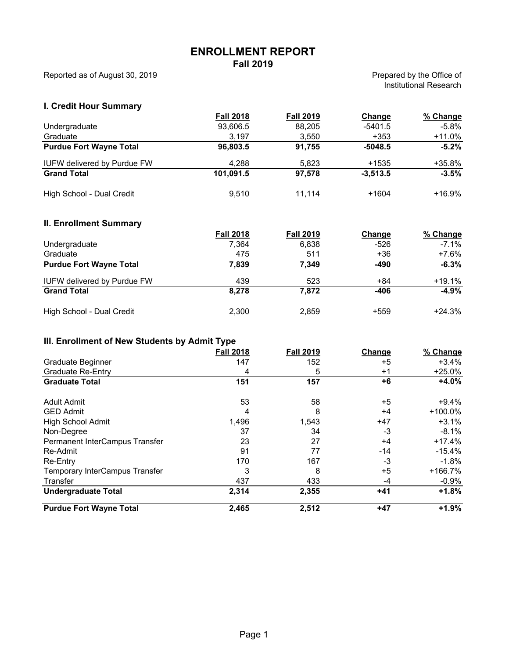# **ENROLLMENT REPORT**

**Fall 2019** 

Reported as of August 30, 2019 **Prepared by the Office of** Prepared by the Office of

Institutional Research

#### **I. Credit Hour Summary**

|                                    | <b>Fall 2018</b> | <b>Fall 2019</b> | Change     | % Change |
|------------------------------------|------------------|------------------|------------|----------|
| Undergraduate                      | 93,606.5         | 88.205           | $-5401.5$  | $-5.8\%$ |
| Graduate                           | 3.197            | 3,550            | $+353$     | +11.0%   |
| <b>Purdue Fort Wayne Total</b>     | 96.803.5         | 91.755           | $-5048.5$  | $-5.2\%$ |
| <b>IUFW delivered by Purdue FW</b> | 4.288            | 5.823            | $+1535$    | +35.8%   |
| <b>Grand Total</b>                 | 101.091.5        | 97.578           | $-3.513.5$ | $-3.5%$  |
| High School - Dual Credit          | 9.510            | 11.114           | $+1604$    | +16.9%   |

#### **II. Enrollment Summary**

|                                    | <b>Fall 2018</b> | <b>Fall 2019</b> | Change | % Change |
|------------------------------------|------------------|------------------|--------|----------|
| Undergraduate                      | 7,364            | 6,838            | $-526$ | $-7.1\%$ |
| Graduate                           | 475              | 511              | $+36$  | +7.6%    |
| <b>Purdue Fort Wayne Total</b>     | 7,839            | 7.349            | $-490$ | $-6.3%$  |
| <b>IUFW delivered by Purdue FW</b> | 439              | 523              | $+84$  | +19.1%   |
| <b>Grand Total</b>                 | 8.278            | 7.872            | $-406$ | $-4.9%$  |
| High School - Dual Credit          | 2,300            | 2,859            | $+559$ | $+24.3%$ |

#### **III. Enrollment of New Students by Admit Type**

|                                | <b>Fall 2018</b> | <b>Fall 2019</b> | Change | % Change   |
|--------------------------------|------------------|------------------|--------|------------|
| Graduate Beginner              | 147              | 152              | $+5$   | $+3.4%$    |
| <b>Graduate Re-Entry</b>       | 4                | 5                | $+1$   | $+25.0%$   |
| <b>Graduate Total</b>          | 151              | 157              | +6     | $+4.0%$    |
| Adult Admit                    | 53               | 58               | +5     | $+9.4\%$   |
| <b>GED Admit</b>               | 4                | 8                | $+4$   | $+100.0\%$ |
| <b>High School Admit</b>       | 1,496            | 1,543            | $+47$  | $+3.1%$    |
| Non-Degree                     | 37               | 34               | -3     | $-8.1%$    |
| Permanent InterCampus Transfer | 23               | 27               | $+4$   | $+17.4%$   |
| Re-Admit                       | 91               | 77               | -14    | $-15.4%$   |
| Re-Entry                       | 170              | 167              | -3     | $-1.8\%$   |
| Temporary InterCampus Transfer | 3                | 8                | $+5$   | $+166.7%$  |
| Transfer                       | 437              | 433              | -4     | $-0.9%$    |
| <b>Undergraduate Total</b>     | 2,314            | 2,355            | $+41$  | $+1.8%$    |
| <b>Purdue Fort Wayne Total</b> | 2,465            | 2,512            | $+47$  | $+1.9%$    |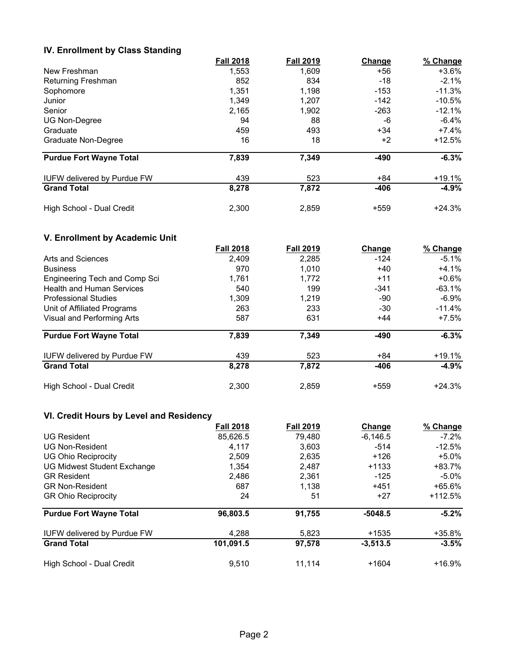### **IV. Enrollment by Class Standing**

|                                    | <b>Fall 2018</b> | <b>Fall 2019</b> | Change | % Change  |
|------------------------------------|------------------|------------------|--------|-----------|
| New Freshman                       | 1,553            | 1.609            | +56    | +3.6%     |
| Returning Freshman                 | 852              | 834              | $-18$  | $-2.1\%$  |
| Sophomore                          | 1,351            | 1,198            | $-153$ | $-11.3%$  |
| Junior                             | 1,349            | 1,207            | $-142$ | $-10.5\%$ |
| Senior                             | 2,165            | 1,902            | $-263$ | $-12.1%$  |
| <b>UG Non-Degree</b>               | 94               | 88               | -6     | $-6.4\%$  |
| Graduate                           | 459              | 493              | $+34$  | +7.4%     |
| Graduate Non-Degree                | 16               | 18               | $+2$   | $+12.5%$  |
| <b>Purdue Fort Wayne Total</b>     | 7,839            | 7,349            | $-490$ | $-6.3%$   |
| <b>IUFW delivered by Purdue FW</b> | 439              | 523              | +84    | $+19.1%$  |
| <b>Grand Total</b>                 | 8,278            | 7,872            | $-406$ | $-4.9%$   |
| High School - Dual Credit          | 2,300            | 2,859            | $+559$ | $+24.3%$  |

## **V. Enrollment by Academic Unit**

|                                    | <b>Fall 2018</b> | <b>Fall 2019</b> | <b>Change</b> | % Change  |  |
|------------------------------------|------------------|------------------|---------------|-----------|--|
| Arts and Sciences                  | 2.409            | 2.285            | $-124$        | $-5.1\%$  |  |
| <b>Business</b>                    | 1,010<br>970     | +40              | $+4.1%$       |           |  |
| Engineering Tech and Comp Sci      | 1,761            | 1.772            | $+11$         | $+0.6%$   |  |
| <b>Health and Human Services</b>   | 540              | 199              | $-341$        | $-63.1%$  |  |
| <b>Professional Studies</b>        | 1,309            | 1.219            | -90           | $-6.9\%$  |  |
| Unit of Affiliated Programs        | 263              | 233              | $-30$         | $-11.4\%$ |  |
| Visual and Performing Arts         | 587              | 631              | $+44$         | $+7.5\%$  |  |
| <b>Purdue Fort Wayne Total</b>     | 7,839            | 7.349            | $-490$        | $-6.3%$   |  |
| <b>IUFW delivered by Purdue FW</b> | 439              | 523              | +84           | $+19.1%$  |  |
| <b>Grand Total</b>                 | 8,278            | 7,872            | -406          | $-4.9%$   |  |
| High School - Dual Credit          | 2.300            | 2.859            | $+559$        | $+24.3%$  |  |

## **VI. Credit Hours by Level and Residency**

|                                    | <b>Fall 2018</b> | <b>Fall 2019</b> | Change     | % Change  |
|------------------------------------|------------------|------------------|------------|-----------|
| <b>UG Resident</b>                 | 85,626.5         | 79.480           | $-6,146.5$ | $-7.2\%$  |
| <b>UG Non-Resident</b>             | 4.117            | 3,603            | $-514$     | $-12.5%$  |
| <b>UG Ohio Reciprocity</b>         | 2,509            | 2,635            | $+126$     | $+5.0\%$  |
| <b>UG Midwest Student Exchange</b> | 1,354            | 2,487            | $+1133$    | $+83.7%$  |
| <b>GR Resident</b>                 | 2,486            | 2.361            | $-125$     | $-5.0\%$  |
| <b>GR Non-Resident</b>             | 687              | 1.138            | $+451$     | $+65.6%$  |
| <b>GR Ohio Reciprocity</b>         | 24               | 51               | $+27$      | $+112.5%$ |
| <b>Purdue Fort Wayne Total</b>     | 96,803.5         | 91,755           | $-5048.5$  | $-5.2%$   |
| <b>IUFW delivered by Purdue FW</b> | 4.288            | 5.823            | $+1535$    | +35.8%    |
| <b>Grand Total</b>                 | 101,091.5        | 97,578           | $-3,513.5$ | $-3.5%$   |
| High School - Dual Credit          | 9.510            | 11.114           | $+1604$    | $+16.9%$  |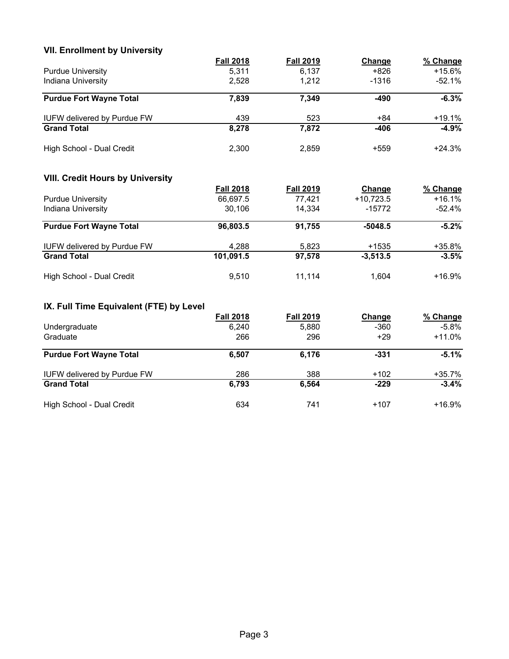| <b>VII. Enrollment by University</b>    |                  |                  |               |          |
|-----------------------------------------|------------------|------------------|---------------|----------|
|                                         | <b>Fall 2018</b> | <b>Fall 2019</b> | <b>Change</b> | % Change |
| <b>Purdue University</b>                | 5,311            | 6,137            | $+826$        | $+15.6%$ |
| Indiana University                      | 2,528            | 1,212            | $-1316$       | $-52.1%$ |
| <b>Purdue Fort Wayne Total</b>          | 7,839            | 7,349            | $-490$        | $-6.3%$  |
| <b>IUFW delivered by Purdue FW</b>      | 439              | 523              | $+84$         | $+19.1%$ |
| <b>Grand Total</b>                      | 8,278            | 7,872            | $-406$        | $-4.9%$  |
| High School - Dual Credit               | 2,300            | 2,859            | $+559$        | $+24.3%$ |
| <b>VIII. Credit Hours by University</b> |                  |                  |               |          |
|                                         | <b>Fall 2018</b> | <b>Fall 2019</b> | Change        | % Change |
| <b>Purdue University</b>                | 66,697.5         | 77,421           | $+10,723.5$   | $+16.1%$ |
| Indiana University                      | 30,106           | 14,334           | $-15772$      | $-52.4%$ |
| <b>Purdue Fort Wayne Total</b>          | 96,803.5         | 91,755           | $-5048.5$     | $-5.2%$  |
| <b>IUFW delivered by Purdue FW</b>      | 4,288            | 5,823            | $+1535$       | $+35.8%$ |
| <b>Grand Total</b>                      | 101,091.5        | 97,578           | $-3,513.5$    | $-3.5%$  |
| High School - Dual Credit               | 9,510            | 11,114           | 1,604         | $+16.9%$ |
| IX. Full Time Equivalent (FTE) by Level |                  |                  |               |          |
|                                         | <b>Fall 2018</b> | <b>Fall 2019</b> | Change        | % Change |
| Undergraduate                           | 6,240            | 5,880            | $-360$        | $-5.8%$  |
| Graduate                                | 266              | 296              | $+29$         | $+11.0%$ |
| <b>Purdue Fort Wayne Total</b>          | 6,507            | 6,176            | $-331$        | $-5.1%$  |
| <b>IUFW delivered by Purdue FW</b>      | 286              | 388              | $+102$        | $+35.7%$ |
| <b>Grand Total</b>                      | 6,793            | 6,564            | $-229$        | $-3.4%$  |
| High School - Dual Credit               | 634              | 741              | $+107$        | $+16.9%$ |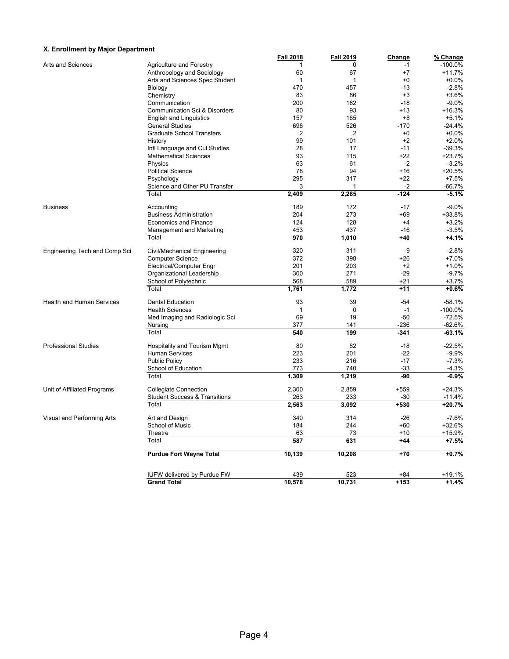#### **X. Enrollment by Major Department**

| v. Elliolillielit by Major Debartillelit |                                                          | <b>Fall 2018</b> | <b>Fall 2019</b> | <b>Change</b>   | % Change           |
|------------------------------------------|----------------------------------------------------------|------------------|------------------|-----------------|--------------------|
| Arts and Sciences                        | <b>Agriculture and Forestry</b>                          |                  | 0                | $-1$            | $-100.0%$          |
|                                          | Anthropology and Sociology                               | 60               | 67               | $+7$            | $+11.7%$           |
|                                          | Arts and Sciences Spec Student                           | 1                | $\mathbf{1}$     | $+0$            | $+0.0%$            |
|                                          | Biology                                                  | 470              | 457              | $-13$           | $-2.8%$            |
|                                          | Chemistry                                                | 83               | 86               | $+3$            | $+3.6%$            |
|                                          | Communication                                            | 200              | 182              | $-18$           | $-9.0%$            |
|                                          | Communication Sci & Disorders                            | 80               | 93               | +13             | +16.3%             |
|                                          | <b>English and Linguistics</b>                           | 157              | 165              | $+8$            | $+5.1%$            |
|                                          | <b>General Studies</b>                                   | 696              | 526              | $-170$          | $-24.4%$           |
|                                          | Graduate School Transfers                                | $\overline{2}$   | 2                | $+0$            | $+0.0%$            |
|                                          | History                                                  | 99               | 101              | $+2$            | $+2.0%$            |
|                                          | Intl Language and Cul Studies                            | 28               | 17               | $-11$           | $-39.3%$           |
|                                          | <b>Mathematical Sciences</b>                             | 93               | 115              | +22             | +23.7%             |
|                                          | Physics                                                  | 63               | 61               | -2              | $-3.2%$            |
|                                          | <b>Political Science</b>                                 | 78               | 94               | $+16$           | $+20.5%$           |
|                                          | Psychology                                               | 295              | 317              | $+22$           | $+7.5%$            |
|                                          | Science and Other PU Transfer                            | 3                |                  | -2              | $-66.7%$           |
|                                          | Total                                                    | 2,409            | 2,285            | $-124$          | $-5.1%$            |
|                                          |                                                          |                  |                  |                 |                    |
| <b>Business</b>                          | Accounting                                               | 189              | 172              | $-17$           | $-9.0%$            |
|                                          | <b>Business Administration</b>                           | 204              | 273              | +69             | +33.8%             |
|                                          | Economics and Finance                                    | 124              | 128              | $+4$            | $+3.2%$            |
|                                          | <b>Management and Marketing</b><br>Total                 | 453<br>970       | 437<br>1,010     | $-16$<br>+40    | $-3.5%$<br>$+4.1%$ |
|                                          |                                                          |                  |                  |                 |                    |
| Engineering Tech and Comp Sci            | Civil/Mechanical Engineering                             | 320              | 311              | -9              | $-2.8%$            |
|                                          | <b>Computer Science</b>                                  | 372              | 398              | +26             | $+7.0%$            |
|                                          | Electrical/Computer Engr                                 | 201              | 203              | $+2$            | $+1.0%$            |
|                                          | Organizational Leadership                                | 300              | 271              | $-29$           | $-9.7%$            |
|                                          | School of Polytechnic                                    | 568              | 589              | $+21$           | $+3.7%$            |
|                                          | Total                                                    | 1,761            | 1,772            | $+11$           | $+0.6%$            |
| <b>Health and Human Services</b>         | <b>Dental Education</b>                                  | 93               | 39               | $-54$           | $-58.1%$           |
|                                          | <b>Health Sciences</b>                                   | $\mathbf{1}$     | 0                | $-1$            | $-100.0%$          |
|                                          | Med Imaging and Radiologic Sci                           | 69               | 19               | $-50$           | $-72.5%$           |
|                                          | Nursing                                                  | 377              | 141              | $-236$          | $-62.6%$           |
|                                          | Total                                                    | 540              | 199              | $-341$          | $-63.1%$           |
| <b>Professional Studies</b>              | Hospitality and Tourism Mgmt                             | 80               | 62               | $-18$           | $-22.5%$           |
|                                          | Human Services                                           | 223              | 201              | $-22$           | $-9.9%$            |
|                                          | <b>Public Policy</b>                                     | 233              | 216              | $-17$           | $-7.3%$            |
|                                          | School of Education                                      | 773              | 740              | $-33$           | $-4.3%$            |
|                                          | Total                                                    | 1,309            | 1,219            | -90             | -6.9%              |
| Unit of Affiliated Programs              | <b>Collegiate Connection</b>                             | 2,300            | 2,859            | $+559$          | $+24.3%$           |
|                                          | <b>Student Success &amp; Transitions</b>                 | 263              | 233              | $-30$           | $-11.4%$           |
|                                          | Total                                                    | 2,563            | 3,092            | $+530$          | $+20.7%$           |
|                                          |                                                          |                  |                  |                 |                    |
| Visual and Performing Arts               | Art and Design                                           | 340              | 314              | $-26$           | $-7.6%$            |
|                                          | School of Music                                          | 184              | 244              | +60             | +32.6%             |
|                                          | Theatre<br>Total                                         | 63<br>587        | 73<br>631        | $+10$<br>$+44$  | +15.9%<br>$+7.5%$  |
|                                          |                                                          |                  |                  |                 |                    |
|                                          | <b>Purdue Fort Wayne Total</b>                           | 10,139           | 10,208           | $+70$           | $+0.7%$            |
|                                          |                                                          |                  |                  |                 |                    |
|                                          | <b>IUFW delivered by Purdue FW</b><br><b>Grand Total</b> | 439<br>10,578    | 523<br>10,731    | $+84$<br>$+153$ | +19.1%<br>$+1.4%$  |
|                                          |                                                          |                  |                  |                 |                    |